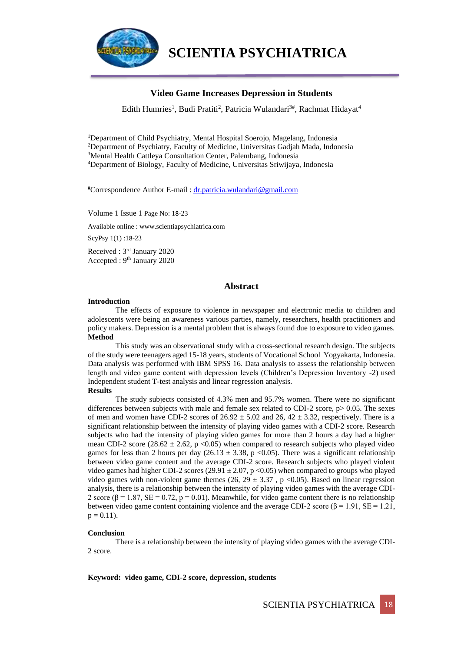

**SCIENTIA PSYCHIATRICA**

#### **Video Game Increases Depression in Students**

Edith Humries<sup>1</sup>, Budi Pratiti<sup>2</sup>, Patricia Wulandari<sup>3#</sup>, Rachmat Hidayat<sup>4</sup>

<sup>1</sup>Department of Child Psychiatry, Mental Hospital Soerojo, Magelang, Indonesia Department of Psychiatry, Faculty of Medicine, Universitas Gadjah Mada, Indonesia Mental Health Cattleya Consultation Center, Palembang, Indonesia Department of Biology, Faculty of Medicine, Universitas Sriwijaya, Indonesia

#Correspondence Author E-mail : [dr.patricia.wulandari@gmail.com](mailto:dr.patricia.wulandari@gmail.com)

Volume 1 Issue 1 Page No: 18-23

Available online : www.scientiapsychiatrica.com

ScyPsy 1(1) :18-23

Received : 3rd January 2020 Accepted : 9th January 2020

#### **Abstract**

#### **Introduction**

The effects of exposure to violence in newspaper and electronic media to children and adolescents were being an awareness various parties, namely, researchers, health practitioners and policy makers. Depression is a mental problem that is always found due to exposure to video games. **Method**

This study was an observational study with a cross-sectional research design. The subjects of the study were teenagers aged 15-18 years, students of Vocational School Yogyakarta, Indonesia. Data analysis was performed with IBM SPSS 16. Data analysis to assess the relationship between length and video game content with depression levels (Children's Depression Inventory -2) used Independent student T-test analysis and linear regression analysis. **Results**

The study subjects consisted of 4.3% men and 95.7% women. There were no significant differences between subjects with male and female sex related to CDI-2 score,  $p > 0.05$ . The sexes of men and women have CDI-2 scores of  $26.92 \pm 5.02$  and  $26, 42 \pm 3.32$ , respectively. There is a significant relationship between the intensity of playing video games with a CDI-2 score. Research subjects who had the intensity of playing video games for more than 2 hours a day had a higher mean CDI-2 score (28.62  $\pm$  2.62, p < 0.05) when compared to research subjects who played video games for less than 2 hours per day  $(26.13 \pm 3.38, p \lt 0.05)$ . There was a significant relationship between video game content and the average CDI-2 score. Research subjects who played violent video games had higher CDI-2 scores (29.91  $\pm$  2.07, p <0.05) when compared to groups who played video games with non-violent game themes (26, 29  $\pm$  3.37, p <0.05). Based on linear regression analysis, there is a relationship between the intensity of playing video games with the average CDI-2 score ( $\beta = 1.87$ , SE = 0.72, p = 0.01). Meanwhile, for video game content there is no relationship between video game content containing violence and the average CDI-2 score ( $\beta = 1.91$ , SE = 1.21,  $p = 0.11$ ).

#### **Conclusion**

There is a relationship between the intensity of playing video games with the average CDI-2 score.

**Keyword: video game, CDI-2 score, depression, students**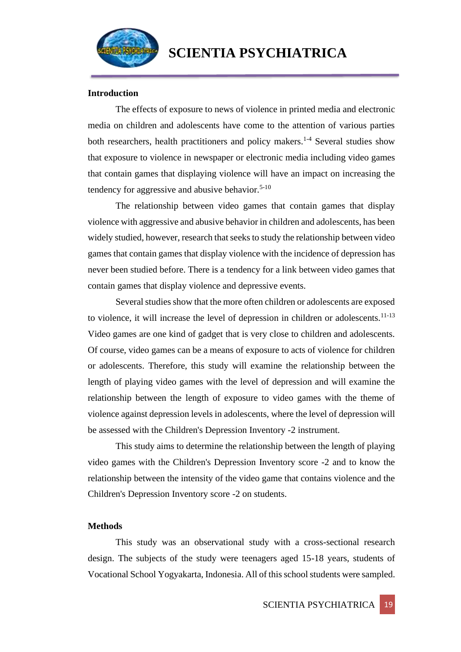

## **Introduction**

The effects of exposure to news of violence in printed media and electronic media on children and adolescents have come to the attention of various parties both researchers, health practitioners and policy makers.<sup>1-4</sup> Several studies show that exposure to violence in newspaper or electronic media including video games that contain games that displaying violence will have an impact on increasing the tendency for aggressive and abusive behavior. $5-10$ 

The relationship between video games that contain games that display violence with aggressive and abusive behavior in children and adolescents, has been widely studied, however, research that seeks to study the relationship between video games that contain games that display violence with the incidence of depression has never been studied before. There is a tendency for a link between video games that contain games that display violence and depressive events.

Several studies show that the more often children or adolescents are exposed to violence, it will increase the level of depression in children or adolescents.<sup>11-13</sup> Video games are one kind of gadget that is very close to children and adolescents. Of course, video games can be a means of exposure to acts of violence for children or adolescents. Therefore, this study will examine the relationship between the length of playing video games with the level of depression and will examine the relationship between the length of exposure to video games with the theme of violence against depression levels in adolescents, where the level of depression will be assessed with the Children's Depression Inventory -2 instrument.

This study aims to determine the relationship between the length of playing video games with the Children's Depression Inventory score -2 and to know the relationship between the intensity of the video game that contains violence and the Children's Depression Inventory score -2 on students.

#### **Methods**

This study was an observational study with a cross-sectional research design. The subjects of the study were teenagers aged 15-18 years, students of Vocational School Yogyakarta, Indonesia. All of thisschool students were sampled.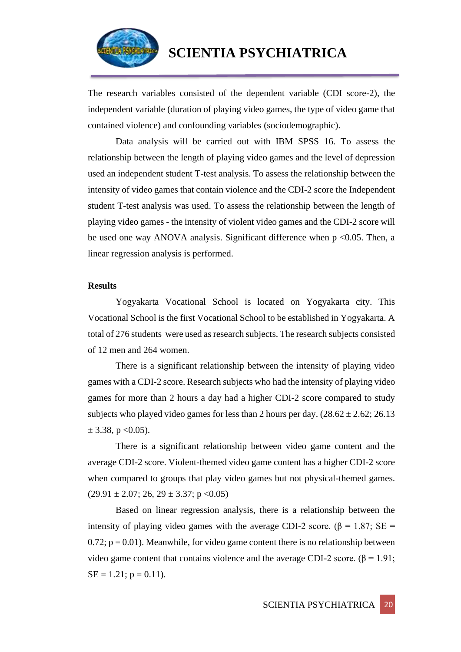

The research variables consisted of the dependent variable (CDI score-2), the independent variable (duration of playing video games, the type of video game that contained violence) and confounding variables (sociodemographic).

Data analysis will be carried out with IBM SPSS 16. To assess the relationship between the length of playing video games and the level of depression used an independent student T-test analysis. To assess the relationship between the intensity of video games that contain violence and the CDI-2 score the Independent student T-test analysis was used. To assess the relationship between the length of playing video games - the intensity of violent video games and the CDI-2 score will be used one way ANOVA analysis. Significant difference when p <0.05. Then, a linear regression analysis is performed.

## **Results**

Yogyakarta Vocational School is located on Yogyakarta city. This Vocational School is the first Vocational School to be established in Yogyakarta. A total of 276 students were used as research subjects. The research subjects consisted of 12 men and 264 women.

There is a significant relationship between the intensity of playing video games with a CDI-2 score. Research subjects who had the intensity of playing video games for more than 2 hours a day had a higher CDI-2 score compared to study subjects who played video games for less than 2 hours per day.  $(28.62 \pm 2.62; 26.13)$  $\pm$  3.38, p < 0.05).

There is a significant relationship between video game content and the average CDI-2 score. Violent-themed video game content has a higher CDI-2 score when compared to groups that play video games but not physical-themed games.  $(29.91 \pm 2.07; 26, 29 \pm 3.37; p < 0.05)$ 

Based on linear regression analysis, there is a relationship between the intensity of playing video games with the average CDI-2 score. ( $\beta$  = 1.87; SE =  $0.72$ ;  $p = 0.01$ ). Meanwhile, for video game content there is no relationship between video game content that contains violence and the average CDI-2 score. (β = 1.91;  $SE = 1.21$ ;  $p = 0.11$ ).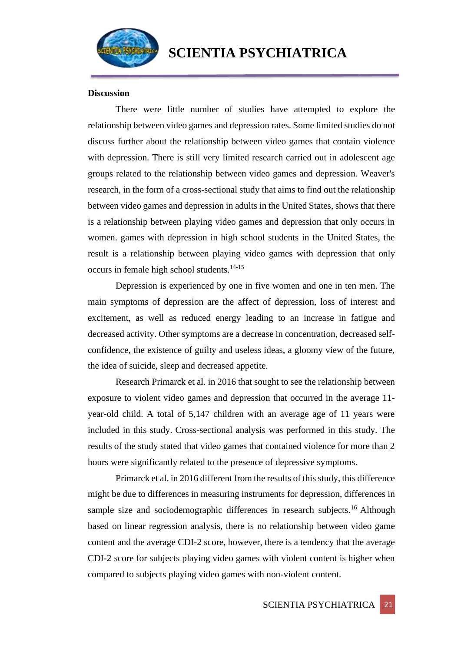

## **Discussion**

There were little number of studies have attempted to explore the relationship between video games and depression rates. Some limited studies do not discuss further about the relationship between video games that contain violence with depression. There is still very limited research carried out in adolescent age groups related to the relationship between video games and depression. Weaver's research, in the form of a cross-sectional study that aims to find out the relationship between video games and depression in adults in the United States, shows that there is a relationship between playing video games and depression that only occurs in women. games with depression in high school students in the United States, the result is a relationship between playing video games with depression that only occurs in female high school students.14-15

Depression is experienced by one in five women and one in ten men. The main symptoms of depression are the affect of depression, loss of interest and excitement, as well as reduced energy leading to an increase in fatigue and decreased activity. Other symptoms are a decrease in concentration, decreased selfconfidence, the existence of guilty and useless ideas, a gloomy view of the future, the idea of suicide, sleep and decreased appetite.

Research Primarck et al. in 2016 that sought to see the relationship between exposure to violent video games and depression that occurred in the average 11 year-old child. A total of 5,147 children with an average age of 11 years were included in this study. Cross-sectional analysis was performed in this study. The results of the study stated that video games that contained violence for more than 2 hours were significantly related to the presence of depressive symptoms.

Primarck et al. in 2016 different from the results of this study, this difference might be due to differences in measuring instruments for depression, differences in sample size and sociodemographic differences in research subjects.<sup>16</sup> Although based on linear regression analysis, there is no relationship between video game content and the average CDI-2 score, however, there is a tendency that the average CDI-2 score for subjects playing video games with violent content is higher when compared to subjects playing video games with non-violent content.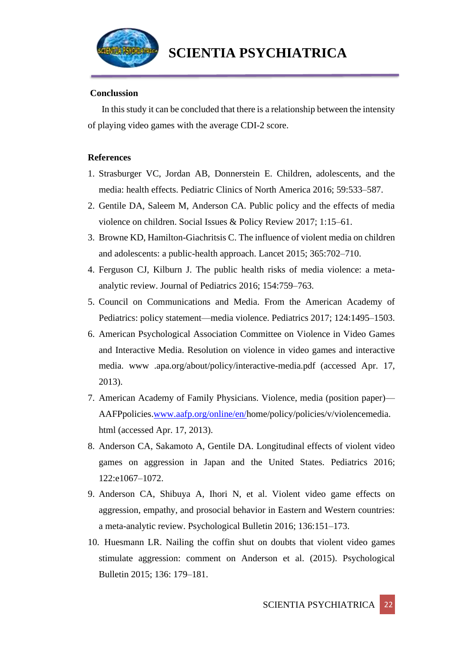

# **Conclussion**

In this study it can be concluded that there is a relationship between the intensity of playing video games with the average CDI-2 score.

## **References**

- 1. Strasburger VC, Jordan AB, Donnerstein E. Children, adolescents, and the media: health effects. Pediatric Clinics of North America 2016; 59:533–587.
- 2. Gentile DA, Saleem M, Anderson CA. Public policy and the effects of media violence on children. Social Issues & Policy Review 2017; 1:15–61.
- 3. Browne KD, Hamilton-Giachritsis C. The influence of violent media on children and adolescents: a public-health approach. Lancet 2015; 365:702–710.
- 4. Ferguson CJ, Kilburn J. The public health risks of media violence: a metaanalytic review. Journal of Pediatrics 2016; 154:759–763.
- 5. Council on Communications and Media. From the American Academy of Pediatrics: policy statement—media violence. Pediatrics 2017; 124:1495–1503.
- 6. American Psychological Association Committee on Violence in Video Games and Interactive Media. Resolution on violence in video games and interactive media. www .apa.org/about/policy/interactive-media.pdf (accessed Apr. 17, 2013).
- 7. American Academy of Family Physicians. Violence, media (position paper)— AAFPpolicies[.www.aafp.org/online/en/h](http://www.aafp.org/online/en/)ome/policy/policies/v/violencemedia. html (accessed Apr. 17, 2013).
- 8. Anderson CA, Sakamoto A, Gentile DA. Longitudinal effects of violent video games on aggression in Japan and the United States. Pediatrics 2016; 122:e1067–1072.
- 9. Anderson CA, Shibuya A, Ihori N, et al. Violent video game effects on aggression, empathy, and prosocial behavior in Eastern and Western countries: a meta-analytic review. Psychological Bulletin 2016; 136:151–173.
- 10. Huesmann LR. Nailing the coffin shut on doubts that violent video games stimulate aggression: comment on Anderson et al. (2015). Psychological Bulletin 2015; 136: 179–181.